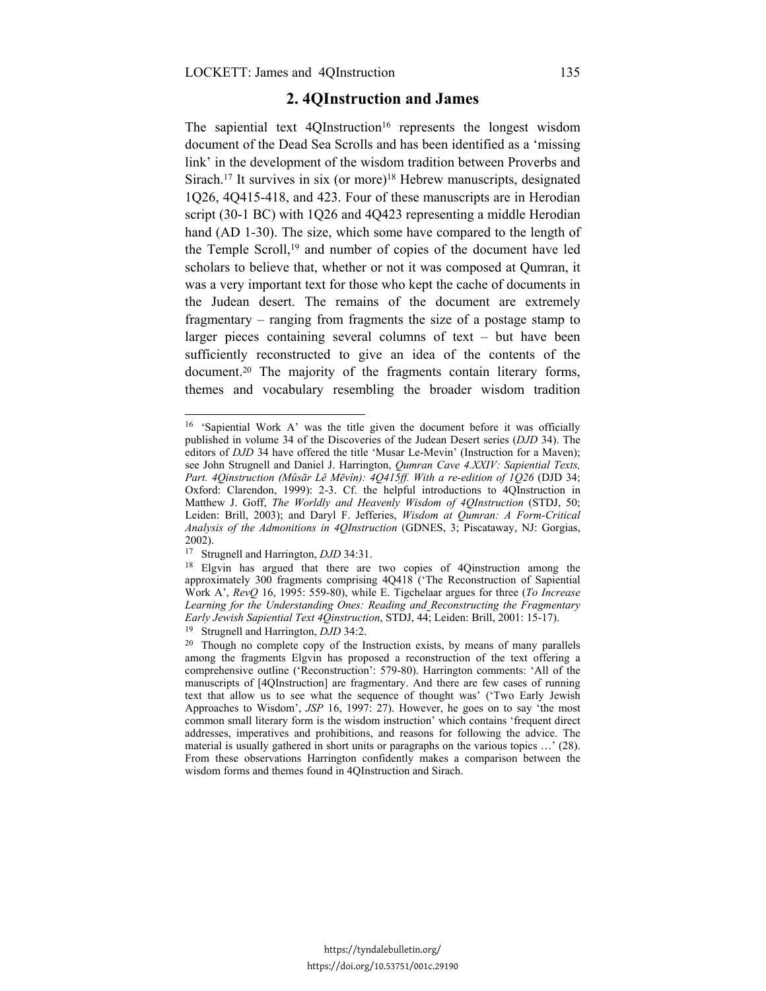# **2. 4QInstruction and James**

The sapiential text  $4QInstruction<sup>16</sup> represents the longest wisdom$ document of the Dead Sea Scrolls and has been identified as a 'missing link' in the development of the wisdom tradition between Proverbs and Sirach.17 It survives in six (or more)18 Hebrew manuscripts, designated 1Q26, 4Q415-418, and 423. Four of these manuscripts are in Herodian script (30-1 BC) with 1Q26 and 4Q423 representing a middle Herodian hand (AD 1-30). The size, which some have compared to the length of the Temple Scroll,19 and number of copies of the document have led scholars to believe that, whether or not it was composed at Qumran, it was a very important text for those who kept the cache of documents in the Judean desert. The remains of the document are extremely fragmentary – ranging from fragments the size of a postage stamp to larger pieces containing several columns of text – but have been sufficiently reconstructed to give an idea of the contents of the document.20 The majority of the fragments contain literary forms, themes and vocabulary resembling the broader wisdom tradition

<sup>16 &#</sup>x27;Sapiential Work A' was the title given the document before it was officially published in volume 34 of the Discoveries of the Judean Desert series (*DJD* 34). The editors of *DJD* 34 have offered the title 'Musar Le-Mevin' (Instruction for a Maven); see John Strugnell and Daniel J. Harrington, *Qumran Cave 4.XXIV: Sapiential Texts, Part. 4Qinstruction (Mûsār Lĕ Mēvîn): 4Q415ff. With a re-edition of 1Q26* (DJD 34; Oxford: Clarendon, 1999): 2-3. Cf. the helpful introductions to 4QInstruction in Matthew J. Goff, *The Worldly and Heavenly Wisdom of 4QInstruction* (STDJ, 50; Leiden: Brill, 2003); and Daryl F. Jefferies, *Wisdom at Qumran: A Form-Critical Analysis of the Admonitions in 4QInstruction* (GDNES, 3; Piscataway, NJ: Gorgias, 2002).

<sup>&</sup>lt;sup>17</sup> Strugnell and Harrington, *DJD* 34:31.<br><sup>18</sup> Elgvin has argued that there are two copies of 4Qinstruction among the approximately 300 fragments comprising 4Q418 ('The Reconstruction of Sapiential Work A', *RevQ* 16, 1995: 559-80), while E. Tigchelaar argues for three (*To Increase Learning for the Understanding Ones: Reading and Reconstructing the Fragmentary* 

<sup>&</sup>lt;sup>19</sup> Strugnell and Harrington, *DJD* 34:2.<br><sup>20</sup> Though no complete copy of the Instruction exists, by means of many parallels among the fragments Elgvin has proposed a reconstruction of the text offering a comprehensive outline ('Reconstruction': 579-80). Harrington comments: 'All of the manuscripts of [4QInstruction] are fragmentary. And there are few cases of running text that allow us to see what the sequence of thought was' ('Two Early Jewish Approaches to Wisdom', *JSP* 16, 1997: 27). However, he goes on to say 'the most common small literary form is the wisdom instruction' which contains 'frequent direct addresses, imperatives and prohibitions, and reasons for following the advice. The material is usually gathered in short units or paragraphs on the various topics …' (28). From these observations Harrington confidently makes a comparison between the wisdom forms and themes found in 4QInstruction and Sirach.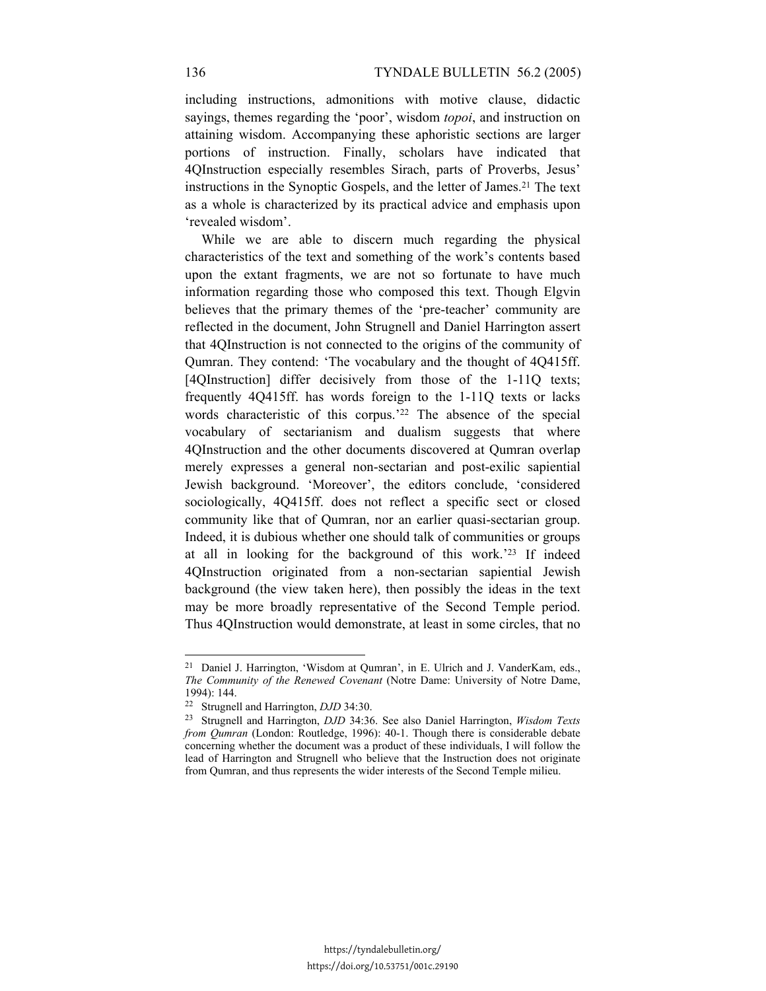including instructions, admonitions with motive clause, didactic sayings, themes regarding the 'poor', wisdom *topoi*, and instruction on attaining wisdom. Accompanying these aphoristic sections are larger portions of instruction. Finally, scholars have indicated that 4QInstruction especially resembles Sirach, parts of Proverbs, Jesus' instructions in the Synoptic Gospels, and the letter of James.21 The text as a whole is characterized by its practical advice and emphasis upon 'revealed wisdom'.

While we are able to discern much regarding the physical characteristics of the text and something of the work's contents based upon the extant fragments, we are not so fortunate to have much information regarding those who composed this text. Though Elgvin believes that the primary themes of the 'pre-teacher' community are reflected in the document, John Strugnell and Daniel Harrington assert that 4QInstruction is not connected to the origins of the community of Qumran. They contend: 'The vocabulary and the thought of 4Q415ff. [4QInstruction] differ decisively from those of the 1-11Q texts; frequently 4Q415ff. has words foreign to the 1-11Q texts or lacks words characteristic of this corpus.<sup>'22</sup> The absence of the special vocabulary of sectarianism and dualism suggests that where 4QInstruction and the other documents discovered at Qumran overlap merely expresses a general non-sectarian and post-exilic sapiential Jewish background. 'Moreover', the editors conclude, 'considered sociologically, 4Q415ff. does not reflect a specific sect or closed community like that of Qumran, nor an earlier quasi-sectarian group. Indeed, it is dubious whether one should talk of communities or groups at all in looking for the background of this work.'23 If indeed 4QInstruction originated from a non-sectarian sapiential Jewish background (the view taken here), then possibly the ideas in the text may be more broadly representative of the Second Temple period. Thus 4QInstruction would demonstrate, at least in some circles, that no

<sup>21</sup> Daniel J. Harrington, 'Wisdom at Qumran', in E. Ulrich and J. VanderKam, eds., *The Community of the Renewed Covenant* (Notre Dame: University of Notre Dame, 1994): 144.

<sup>22</sup> Strugnell and Harrington, *DJD* 34:30. 23 Strugnell and Harrington, *DJD* 34:36. See also Daniel Harrington, *Wisdom Texts from Qumran* (London: Routledge, 1996): 40-1. Though there is considerable debate concerning whether the document was a product of these individuals, I will follow the lead of Harrington and Strugnell who believe that the Instruction does not originate from Qumran, and thus represents the wider interests of the Second Temple milieu.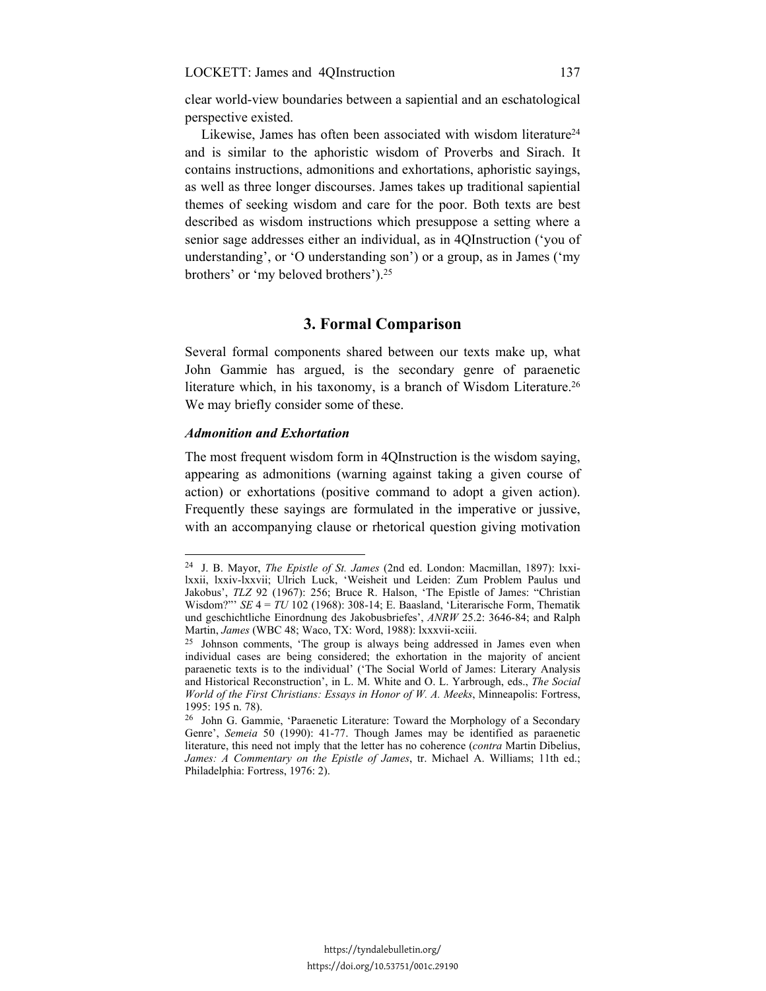clear world-view boundaries between a sapiential and an eschatological perspective existed.

Likewise, James has often been associated with wisdom literature<sup>24</sup> and is similar to the aphoristic wisdom of Proverbs and Sirach. It contains instructions, admonitions and exhortations, aphoristic sayings, as well as three longer discourses. James takes up traditional sapiential themes of seeking wisdom and care for the poor. Both texts are best described as wisdom instructions which presuppose a setting where a senior sage addresses either an individual, as in 4QInstruction ('you of understanding', or 'O understanding son') or a group, as in James ('my brothers' or 'my beloved brothers').25

## **3. Formal Comparison**

Several formal components shared between our texts make up, what John Gammie has argued, is the secondary genre of paraenetic literature which, in his taxonomy, is a branch of Wisdom Literature.<sup>26</sup> We may briefly consider some of these.

## *Admonition and Exhortation*

<u>.</u>

The most frequent wisdom form in 4QInstruction is the wisdom saying, appearing as admonitions (warning against taking a given course of action) or exhortations (positive command to adopt a given action). Frequently these sayings are formulated in the imperative or jussive, with an accompanying clause or rhetorical question giving motivation

<sup>24</sup> J. B. Mayor, *The Epistle of St. James* (2nd ed. London: Macmillan, 1897): lxxilxxii, lxxiv-lxxvii; Ulrich Luck, 'Weisheit und Leiden: Zum Problem Paulus und Jakobus', *TLZ* 92 (1967): 256; Bruce R. Halson, 'The Epistle of James: "Christian Wisdom?"' *SE* 4 = *TU* 102 (1968): 308-14; E. Baasland, 'Literarische Form, Thematik und geschichtliche Einordnung des Jakobusbriefes', *ANRW* 25.2: 3646-84; and Ralph

Martin, *James* (WBC 48; Waco, TX: Word, 1988): lxxxvii-xciii.<br><sup>25</sup> Johnson comments, 'The group is always being addressed in James even when individual cases are being considered; the exhortation in the majority of ancient paraenetic texts is to the individual' ('The Social World of James: Literary Analysis and Historical Reconstruction', in L. M. White and O. L. Yarbrough, eds., *The Social World of the First Christians: Essays in Honor of W. A. Meeks*, Minneapolis: Fortress, 1995: 195 n. 78).

<sup>26</sup> John G. Gammie, 'Paraenetic Literature: Toward the Morphology of a Secondary Genre', *Semeia* 50 (1990): 41-77. Though James may be identified as paraenetic literature, this need not imply that the letter has no coherence (*contra* Martin Dibelius, *James: A Commentary on the Epistle of James*, tr. Michael A. Williams; 11th ed.; Philadelphia: Fortress, 1976: 2).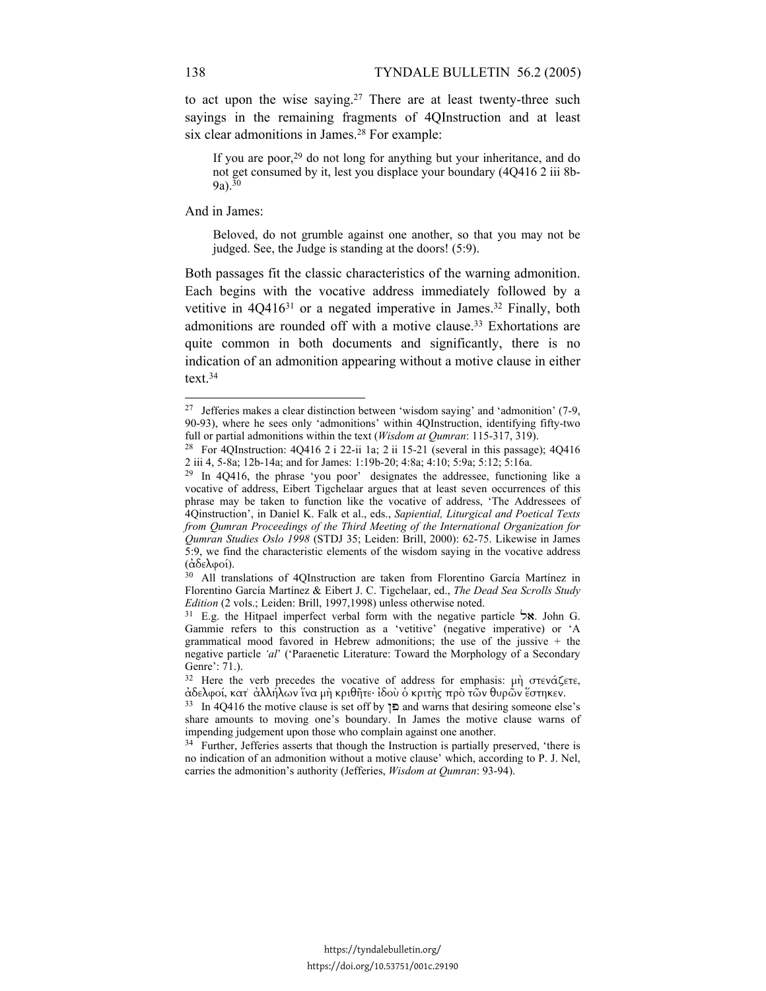to act upon the wise saying.27 There are at least twenty-three such sayings in the remaining fragments of 4QInstruction and at least six clear admonitions in James.<sup>28</sup> For example:

If you are poor,29 do not long for anything but your inheritance, and do not get consumed by it, lest you displace your boundary (4Q416 2 iii 8b- $9a)$ .<sup>30</sup>

And in James:

<u>.</u>

Beloved, do not grumble against one another, so that you may not be judged. See, the Judge is standing at the doors! (5:9).

Both passages fit the classic characteristics of the warning admonition. Each begins with the vocative address immediately followed by a vetitive in 4Q416<sup>31</sup> or a negated imperative in James.<sup>32</sup> Finally, both admonitions are rounded off with a motive clause.33 Exhortations are quite common in both documents and significantly, there is no indication of an admonition appearing without a motive clause in either text.34

<sup>27</sup> Jefferies makes a clear distinction between 'wisdom saying' and 'admonition' (7-9, 90-93), where he sees only 'admonitions' within 4QInstruction, identifying fifty-two full or partial admonitions within the text (*Wisdom at Qumran*: 115-317, 319). 28 For 4QInstruction: 4Q416 2 i 22-ii 1a; 2 ii 15-21 (several in this passage); 4Q416

<sup>2</sup> iii 4, 5-8a; 12b-14a; and for James: 1:19b-20; 4:8a; 4:10; 5:9a; 5:12; 5:16a.  $^{29}$  In 4Q416, the phrase 'you poor' designates the addressee, functioning like a

vocative of address, Eibert Tigchelaar argues that at least seven occurrences of this phrase may be taken to function like the vocative of address, 'The Addressees of 4Qinstruction', in Daniel K. Falk et al., eds., *Sapiential, Liturgical and Poetical Texts from Qumran Proceedings of the Third Meeting of the International Organization for Qumran Studies Oslo 1998* (STDJ 35; Leiden: Brill, 2000): 62-75. Likewise in James 5:9, we find the characteristic elements of the wisdom saying in the vocative address (ἀδελφοί). 30 All translations of 4QInstruction are taken from Florentino García Martínez in

Florentino García Martínez & Eibert J. C. Tigchelaar, ed., *The Dead Sea Scrolls Study* 

<sup>&</sup>lt;sup>31</sup> E.g. the Hitpael imperfect verbal form with the negative particle **אל**. John G. Gammie refers to this construction as a 'vetitive' (negative imperative) or 'A grammatical mood favored in Hebrew admonitions; the use of the jussive  $+$  the negative particle *'al*' ('Paraenetic Literature: Toward the Morphology of a Secondary Genre': 71.).

<sup>&</sup>lt;sup>32</sup> Here the verb precedes the vocative of address for emphasis: μὴ στενάζετε, ἀδελφοί, κατ' ἀλλήλων ἵνα μὴ κριθῆτε· ἰδοὺ ὁ κριτὴς πρὸ τῶν θυρῶν ἕστηκεν.

 $33$  In 4Q416 the motive clause is set off by **Φ** and warns that desiring someone else's share amounts to moving one's boundary. In James the motive clause warns of impending judgement upon those who complain against one another.<br><sup>34</sup> Further, Jefferies asserts that though the Instruction is partially preserved, 'there is

no indication of an admonition without a motive clause' which, according to P. J. Nel, carries the admonition's authority (Jefferies, *Wisdom at Qumran*: 93-94).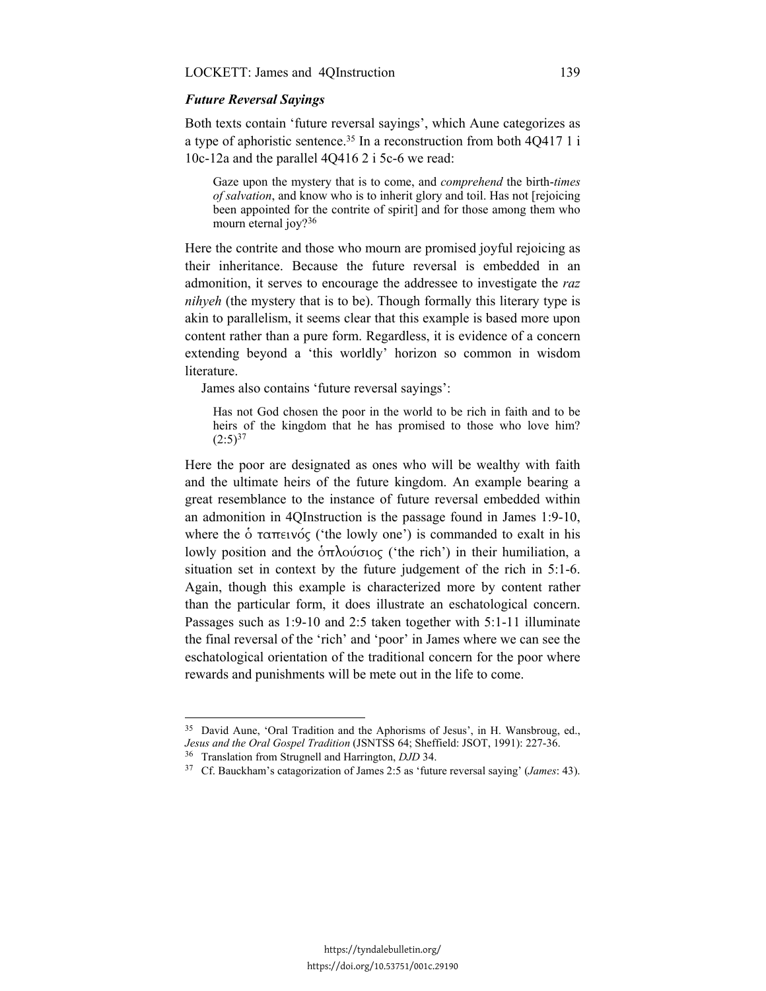## *Future Reversal Sayings*

Both texts contain 'future reversal sayings', which Aune categorizes as a type of aphoristic sentence.35 In a reconstruction from both 4Q417 1 i 10c-12a and the parallel 4Q416 2 i 5c-6 we read:

Gaze upon the mystery that is to come, and *comprehend* the birth-*times of salvation*, and know who is to inherit glory and toil. Has not [rejoicing been appointed for the contrite of spirit] and for those among them who mourn eternal joy?<sup>36</sup>

Here the contrite and those who mourn are promised joyful rejoicing as their inheritance. Because the future reversal is embedded in an admonition, it serves to encourage the addressee to investigate the *raz nihyeh* (the mystery that is to be). Though formally this literary type is akin to parallelism, it seems clear that this example is based more upon content rather than a pure form. Regardless, it is evidence of a concern extending beyond a 'this worldly' horizon so common in wisdom literature.

James also contains 'future reversal sayings':

Has not God chosen the poor in the world to be rich in faith and to be heirs of the kingdom that he has promised to those who love him?  $(2:5)^{37}$ 

Here the poor are designated as ones who will be wealthy with faith and the ultimate heirs of the future kingdom. An example bearing a great resemblance to the instance of future reversal embedded within an admonition in 4QInstruction is the passage found in James 1:9-10, where the  $\dot{\text{o}}$  ταπεινός ('the lowly one') is commanded to exalt in his lowly position and the  $\delta$ πλούσιος ('the rich') in their humiliation, a situation set in context by the future judgement of the rich in 5:1-6. Again, though this example is characterized more by content rather than the particular form, it does illustrate an eschatological concern. Passages such as 1:9-10 and 2:5 taken together with 5:1-11 illuminate the final reversal of the 'rich' and 'poor' in James where we can see the eschatological orientation of the traditional concern for the poor where rewards and punishments will be mete out in the life to come.

-

<sup>&</sup>lt;sup>35</sup> David Aune, 'Oral Tradition and the Aphorisms of Jesus', in H. Wansbroug, ed., Jesus and the Oral Gospel Tradition (JSNTSS 64; Sheffield: JSOT, 1991): 227-36.<br><sup>36</sup> Translation from Strugnell and Harrington, *DJD* 34.<br><sup>37</sup> Cf. Bauckham's catagorization of James 2:5 as 'future reversal saying' (*James*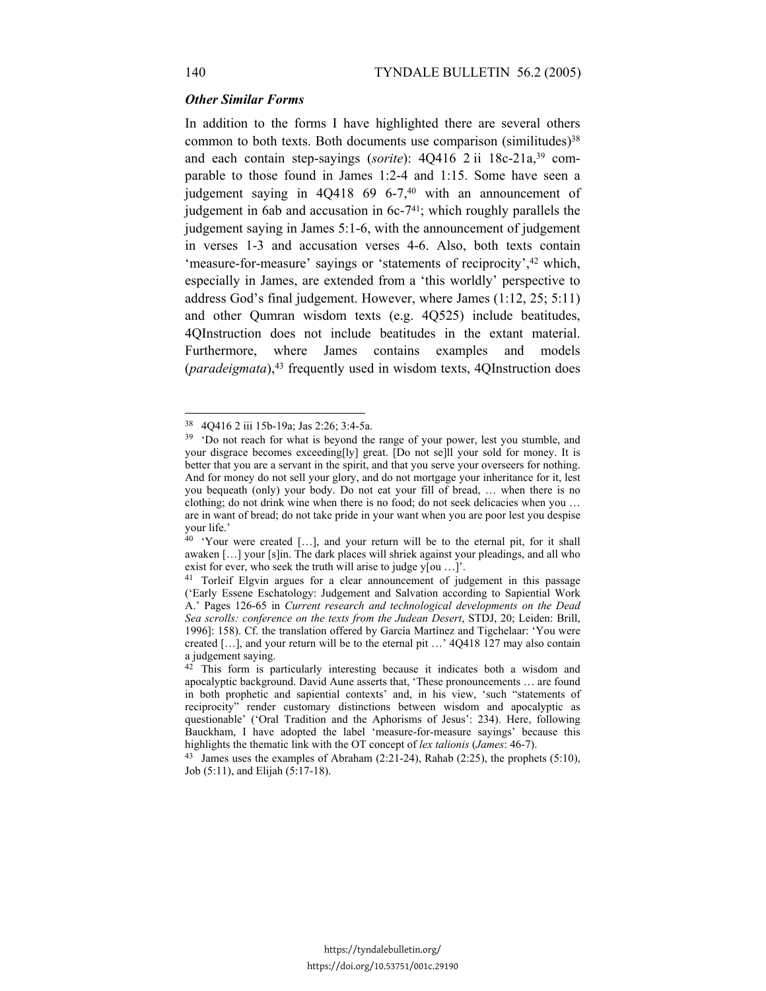### *Other Similar Forms*

In addition to the forms I have highlighted there are several others common to both texts. Both documents use comparison (similitudes) $38$ and each contain step-sayings (sorite): 4Q416 2 ii 18c-21a,<sup>39</sup> comparable to those found in James 1:2-4 and 1:15. Some have seen a judgement saying in 4Q418 69 6-7,<sup>40</sup> with an announcement of judgement in 6ab and accusation in 6c-741; which roughly parallels the judgement saying in James 5:1-6, with the announcement of judgement in verses 1-3 and accusation verses 4-6. Also, both texts contain 'measure-for-measure' sayings or 'statements of reciprocity',42 which, especially in James, are extended from a 'this worldly' perspective to address God's final judgement. However, where James (1:12, 25; 5:11) and other Qumran wisdom texts (e.g. 4Q525) include beatitudes, 4QInstruction does not include beatitudes in the extant material. Furthermore, where James contains examples and models (*paradeigmata*),43 frequently used in wisdom texts, 4QInstruction does

-

<sup>38 4</sup>Q416 2 iii 15b-19a; Jas 2:26; 3:4-5a.

 $39$  'Do not reach for what is beyond the range of your power, lest you stumble, and your disgrace becomes exceeding[ly] great. [Do not se]ll your sold for money. It is better that you are a servant in the spirit, and that you serve your overseers for nothing. And for money do not sell your glory, and do not mortgage your inheritance for it, lest you bequeath (only) your body. Do not eat your fill of bread, … when there is no clothing; do not drink wine when there is no food; do not seek delicacies when you … are in want of bread; do not take pride in your want when you are poor lest you despise your life.'

<sup>&</sup>lt;sup>40</sup> 'Your were created [...], and your return will be to the eternal pit, for it shall awaken […] your [s]in. The dark places will shriek against your pleadings, and all who exist for ever, who seek the truth will arise to judge y[ou ...]'.

<sup>41</sup> Torleif Elgvin argues for a clear announcement of judgement in this passage ('Early Essene Eschatology: Judgement and Salvation according to Sapiential Work A.' Pages 126-65 in *Current research and technological developments on the Dead Sea scrolls: conference on the texts from the Judean Desert*, STDJ, 20; Leiden: Brill, 1996]: 158). Cf. the translation offered by García Martínez and Tigchelaar: 'You were created […], and your return will be to the eternal pit …' 4Q418 127 may also contain a judgement saying.

<sup>&</sup>lt;sup>42</sup> This form is particularly interesting because it indicates both a wisdom and apocalyptic background. David Aune asserts that, 'These pronouncements … are found in both prophetic and sapiential contexts' and, in his view, 'such "statements of reciprocity" render customary distinctions between wisdom and apocalyptic as questionable' ('Oral Tradition and the Aphorisms of Jesus': 234). Here, following Bauckham, I have adopted the label 'measure-for-measure sayings' because this highlights the thematic link with the OT concept of *lex talionis* (*James*: 46-7).

<sup>&</sup>lt;sup>43</sup> James uses the examples of Abraham  $(2:21-24)$ , Rahab  $(2:25)$ , the prophets  $(5:10)$ , Job (5:11), and Elijah (5:17-18).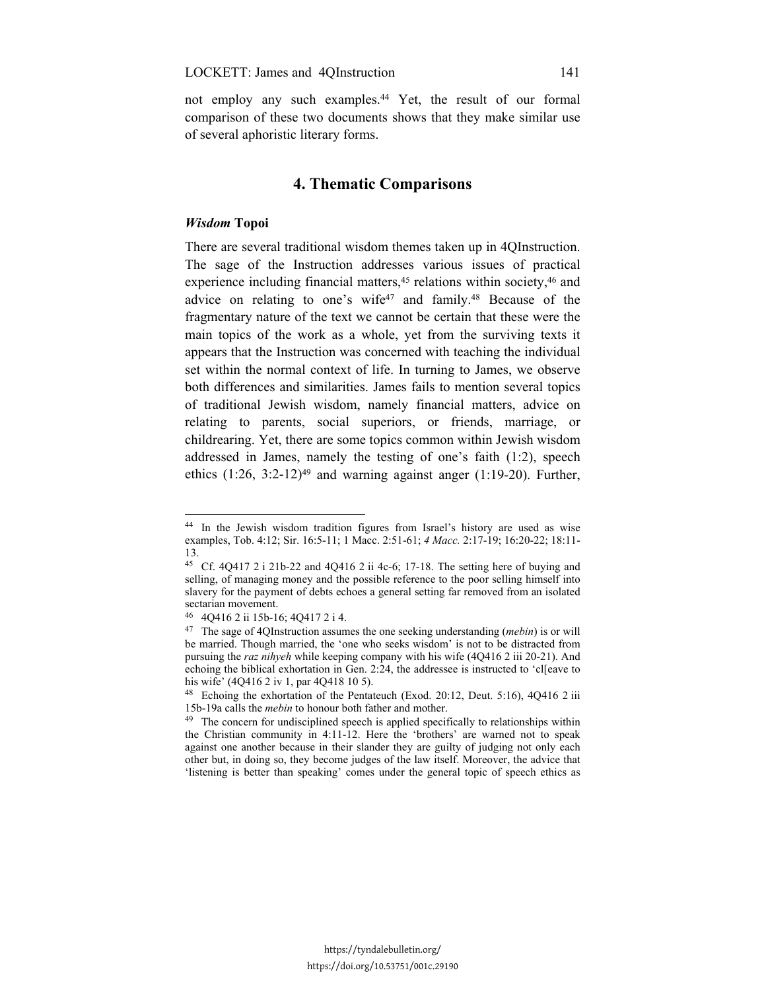not employ any such examples.44 Yet, the result of our formal comparison of these two documents shows that they make similar use of several aphoristic literary forms.

# **4. Thematic Comparisons**

#### *Wisdom* **Topoi**

-

There are several traditional wisdom themes taken up in 4QInstruction. The sage of the Instruction addresses various issues of practical experience including financial matters,<sup>45</sup> relations within society,<sup>46</sup> and advice on relating to one's wife<sup>47</sup> and family.<sup>48</sup> Because of the fragmentary nature of the text we cannot be certain that these were the main topics of the work as a whole, yet from the surviving texts it appears that the Instruction was concerned with teaching the individual set within the normal context of life. In turning to James, we observe both differences and similarities. James fails to mention several topics of traditional Jewish wisdom, namely financial matters, advice on relating to parents, social superiors, or friends, marriage, or childrearing. Yet, there are some topics common within Jewish wisdom addressed in James, namely the testing of one's faith (1:2), speech ethics  $(1:26, 3:2-12)^{49}$  and warning against anger  $(1:19-20)$ . Further,

<sup>44</sup> In the Jewish wisdom tradition figures from Israel's history are used as wise examples, Tob. 4:12; Sir. 16:5-11; 1 Macc. 2:51-61; *4 Macc.* 2:17-19; 16:20-22; 18:11- 13.

<sup>&</sup>lt;sup>45</sup> Cf. 4Q417 2 i 21b-22 and 4Q416 2 ii 4c-6; 17-18. The setting here of buying and selling, of managing money and the possible reference to the poor selling himself into slavery for the payment of debts echoes a general setting far removed from an isolated sectarian movement.

<sup>46 4</sup>Q416 2 ii 15b-16; 4Q417 2 i 4.

<sup>47</sup> The sage of 4QInstruction assumes the one seeking understanding (*mebin*) is or will be married. Though married, the 'one who seeks wisdom' is not to be distracted from pursuing the *raz nihyeh* while keeping company with his wife (4Q416 2 iii 20-21). And echoing the biblical exhortation in Gen. 2:24, the addressee is instructed to 'cl[eave to his wife' (4Q416 2 iv 1, par 4Q418 10 5).

<sup>48</sup> Echoing the exhortation of the Pentateuch (Exod. 20:12, Deut. 5:16), 4Q416 2 iii 15b-19a calls the *mebin* to honour both father and mother. 49 The concern for undisciplined speech is applied specifically to relationships within

the Christian community in 4:11-12. Here the 'brothers' are warned not to speak against one another because in their slander they are guilty of judging not only each other but, in doing so, they become judges of the law itself. Moreover, the advice that 'listening is better than speaking' comes under the general topic of speech ethics as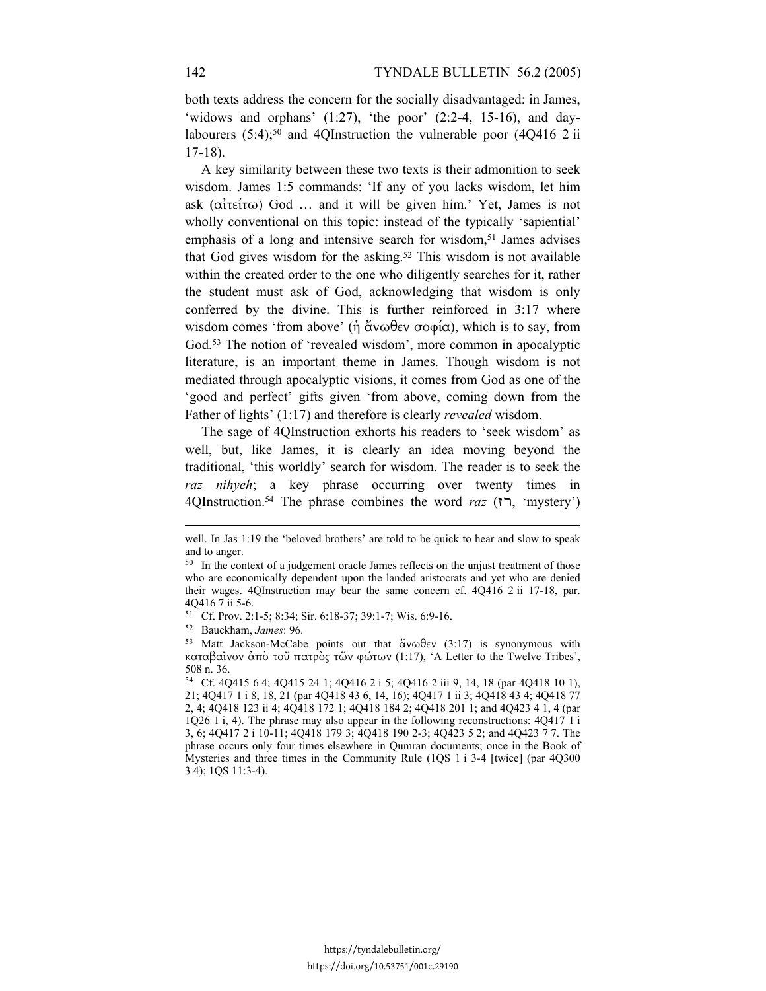both texts address the concern for the socially disadvantaged: in James, 'widows and orphans'  $(1:27)$ , 'the poor'  $(2:2-4, 15-16)$ , and daylabourers  $(5:4)$ ;<sup>50</sup> and 4QInstruction the vulnerable poor  $(4Q416 \ 2i)$ 17-18).

A key similarity between these two texts is their admonition to seek wisdom. James 1:5 commands: 'If any of you lacks wisdom, let him ask (αἰτείτω) God … and it will be given him.' Yet, James is not wholly conventional on this topic: instead of the typically 'sapiential' emphasis of a long and intensive search for wisdom,<sup>51</sup> James advises that God gives wisdom for the asking.52 This wisdom is not available within the created order to the one who diligently searches for it, rather the student must ask of God, acknowledging that wisdom is only conferred by the divine. This is further reinforced in 3:17 where wisdom comes 'from above' (ἡ ἄνωθεν σοφία), which is to say, from God.<sup>53</sup> The notion of 'revealed wisdom', more common in apocalyptic literature, is an important theme in James. Though wisdom is not mediated through apocalyptic visions, it comes from God as one of the 'good and perfect' gifts given 'from above, coming down from the Father of lights' (1:17) and therefore is clearly *revealed* wisdom.

The sage of 4QInstruction exhorts his readers to 'seek wisdom' as well, but, like James, it is clearly an idea moving beyond the traditional, 'this worldly' search for wisdom. The reader is to seek the *raz nihyeh*; a key phrase occurring over twenty times in 4QInstruction.54 The phrase combines the word *raz* (רז,' mystery')

l

51 Cf. Prov. 2:1-5; 8:34; Sir. 6:18-37; 39:1-7; Wis. 6:9-16. 52 Bauckham, *James*: 96. 53 Matt Jackson-McCabe points out that ἄνωθεν (3:17) is synonymous with καταβαῖνον ἀπὸ τοῦ πατρὸς τῶν φώτων (1:17), 'A Letter to the Twelve Tribes', 508 n. 36.

well. In Jas 1:19 the 'beloved brothers' are told to be quick to hear and slow to speak and to anger.

<sup>&</sup>lt;sup>50</sup> In the context of a judgement oracle James reflects on the unjust treatment of those who are economically dependent upon the landed aristocrats and yet who are denied their wages. 4QInstruction may bear the same concern cf. 4Q416 2 ii 17-18, par. 4Q416 7 ii 5-6.

<sup>54</sup> Cf. 4Q415 6 4; 4Q415 24 1; 4Q416 2 i 5; 4Q416 2 iii 9, 14, 18 (par 4Q418 10 1), 21; 4Q417 1 i 8, 18, 21 (par 4Q418 43 6, 14, 16); 4Q417 1 ii 3; 4Q418 43 4; 4Q418 77 2, 4; 4Q418 123 ii 4; 4Q418 172 1; 4Q418 184 2; 4Q418 201 1; and 4Q423 4 1, 4 (par 1Q26 1 i, 4). The phrase may also appear in the following reconstructions: 4Q417 1 i 3, 6; 4Q417 2 i 10-11; 4Q418 179 3; 4Q418 190 2-3; 4Q423 5 2; and 4Q423 7 7. The phrase occurs only four times elsewhere in Qumran documents; once in the Book of Mysteries and three times in the Community Rule (1QS 1 i 3-4 [twice] (par 4Q300 3 4); 1QS 11:3-4).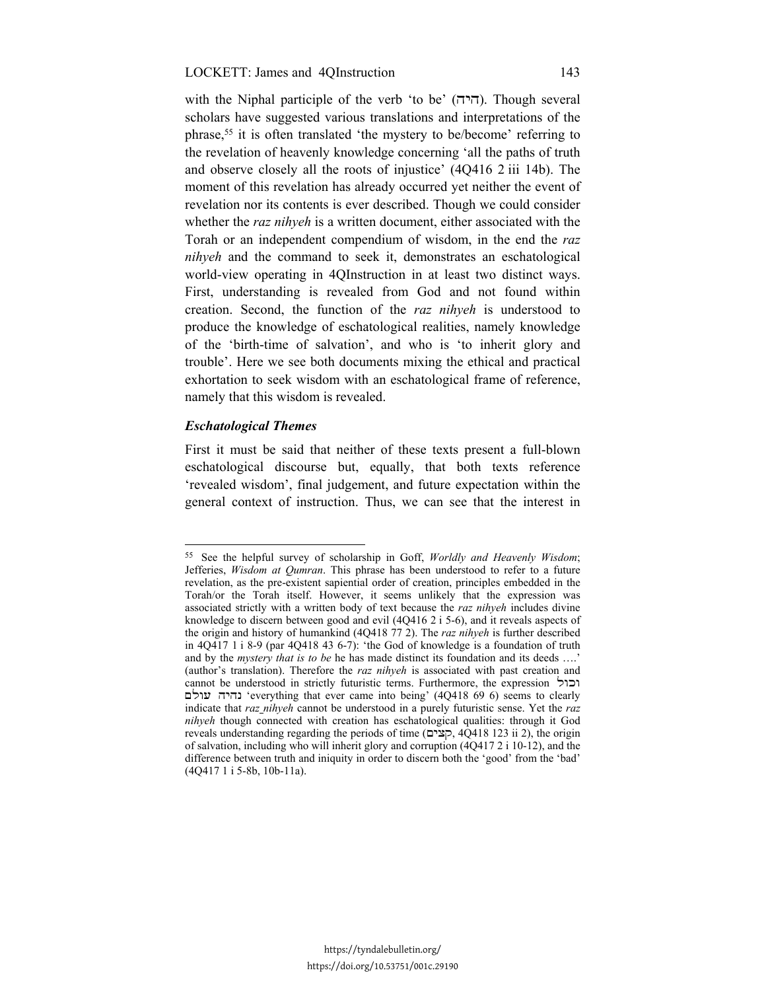#### LOCKETT: James and 4QInstruction 143

with the Niphal participle of the verb 'to be' (היה). Though several scholars have suggested various translations and interpretations of the phrase,55 it is often translated 'the mystery to be/become' referring to the revelation of heavenly knowledge concerning 'all the paths of truth and observe closely all the roots of injustice' (4Q416 2 iii 14b). The moment of this revelation has already occurred yet neither the event of revelation nor its contents is ever described. Though we could consider whether the *raz nihyeh* is a written document, either associated with the Torah or an independent compendium of wisdom, in the end the *raz nihyeh* and the command to seek it, demonstrates an eschatological world-view operating in 4QInstruction in at least two distinct ways. First, understanding is revealed from God and not found within creation. Second, the function of the *raz nihyeh* is understood to produce the knowledge of eschatological realities, namely knowledge of the 'birth-time of salvation', and who is 'to inherit glory and trouble'. Here we see both documents mixing the ethical and practical exhortation to seek wisdom with an eschatological frame of reference, namely that this wisdom is revealed.

### *Eschatological Themes*

<u>.</u>

First it must be said that neither of these texts present a full-blown eschatological discourse but, equally, that both texts reference 'revealed wisdom', final judgement, and future expectation within the general context of instruction. Thus, we can see that the interest in

<sup>55</sup> See the helpful survey of scholarship in Goff, *Worldly and Heavenly Wisdom*; Jefferies, *Wisdom at Qumran*. This phrase has been understood to refer to a future revelation, as the pre-existent sapiential order of creation, principles embedded in the Torah/or the Torah itself. However, it seems unlikely that the expression was associated strictly with a written body of text because the *raz nihyeh* includes divine knowledge to discern between good and evil (4Q416 2 i 5-6), and it reveals aspects of the origin and history of humankind (4Q418 77 2). The *raz nihyeh* is further described in 4Q417 1 i 8-9 (par 4Q418 43 6-7): 'the God of knowledge is a foundation of truth and by the *mystery that is to be* he has made distinct its foundation and its deeds ….' (author's translation). Therefore the *raz nihyeh* is associated with past creation and cannot be understood in strictly futuristic terms. Furthermore, the expression וכול עולם נהיה' everything that ever came into being' (4Q418 69 6) seems to clearly indicate that *raz nihyeh* cannot be understood in a purely futuristic sense. Yet the *raz nihyeh* though connected with creation has eschatological qualities: through it God reveals understanding regarding the periods of time (קצים, 4Q418 123 ii 2), the origin of salvation, including who will inherit glory and corruption (4Q417 2 i 10-12), and the difference between truth and iniquity in order to discern both the 'good' from the 'bad' (4Q417 1 i 5-8b, 10b-11a).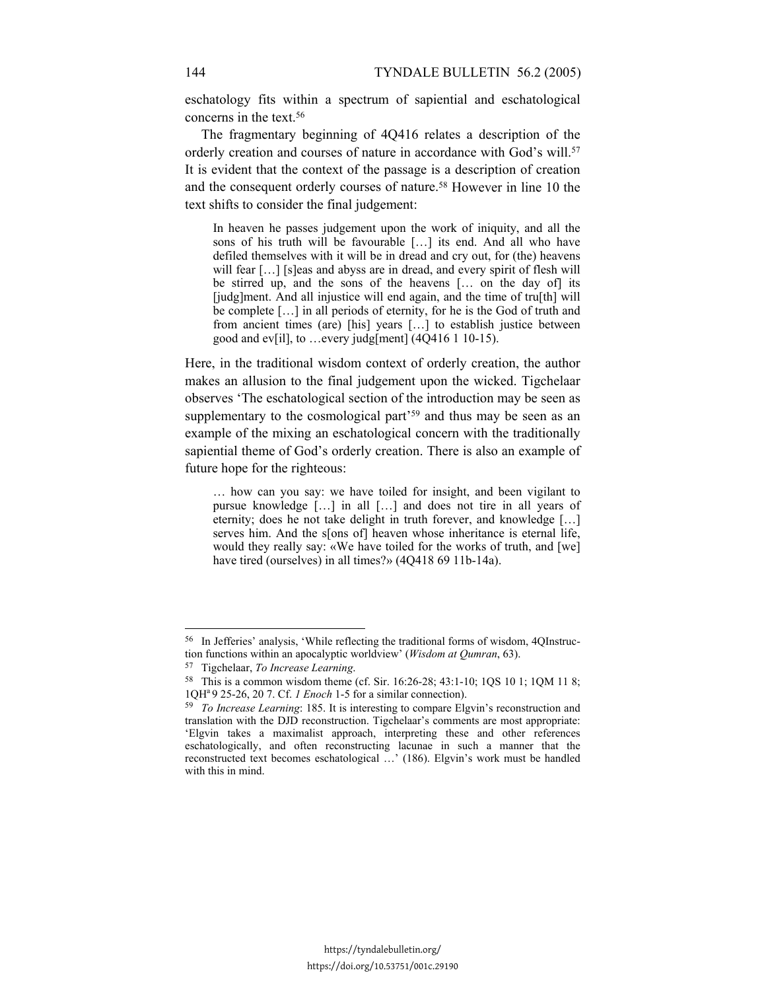eschatology fits within a spectrum of sapiential and eschatological concerns in the text.56

The fragmentary beginning of 4Q416 relates a description of the orderly creation and courses of nature in accordance with God's will.<sup>57</sup> It is evident that the context of the passage is a description of creation and the consequent orderly courses of nature.58 However in line 10 the text shifts to consider the final judgement:

In heaven he passes judgement upon the work of iniquity, and all the sons of his truth will be favourable […] its end. And all who have defiled themselves with it will be in dread and cry out, for (the) heavens will fear [...] [s]eas and abyss are in dread, and every spirit of flesh will be stirred up, and the sons of the heavens [… on the day of] its [judg]ment. And all injustice will end again, and the time of tru[th] will be complete […] in all periods of eternity, for he is the God of truth and from ancient times (are) [his] years […] to establish justice between good and ev[il], to …every judg[ment] (4Q416 1 10-15).

Here, in the traditional wisdom context of orderly creation, the author makes an allusion to the final judgement upon the wicked. Tigchelaar observes 'The eschatological section of the introduction may be seen as supplementary to the cosmological part<sup>'59</sup> and thus may be seen as an example of the mixing an eschatological concern with the traditionally sapiential theme of God's orderly creation. There is also an example of future hope for the righteous:

… how can you say: we have toiled for insight, and been vigilant to pursue knowledge […] in all […] and does not tire in all years of eternity; does he not take delight in truth forever, and knowledge […] serves him. And the s[ons of] heaven whose inheritance is eternal life, would they really say: «We have toiled for the works of truth, and [we] have tired (ourselves) in all times?» (4Q418 69 11b-14a).

<sup>&</sup>lt;sup>56</sup> In Jefferies' analysis, 'While reflecting the traditional forms of wisdom, 4QInstruction functions within an apocalyptic worldview' (*Wisdom at Qumran*, 63).

<sup>&</sup>lt;sup>57</sup> Tigchelaar, *To Increase Learning*.<br><sup>58</sup> This is a common wisdom theme (cf. Sir. 16:26-28; 43:1-10; 1QS 10 1; 1QM 11 8; 1QH<sup>a</sup> 9 25-26, 20 7. Cf. *I Enoch* 1-5 for a similar connection).

<sup>&</sup>lt;sup>59</sup> *To Increase Learning*: 185. It is interesting to compare Elgvin's reconstruction and translation with the DJD reconstruction. Tigchelaar's comments are most appropriate: 'Elgvin takes a maximalist approach, interpreting these and other references eschatologically, and often reconstructing lacunae in such a manner that the reconstructed text becomes eschatological …' (186). Elgvin's work must be handled with this in mind.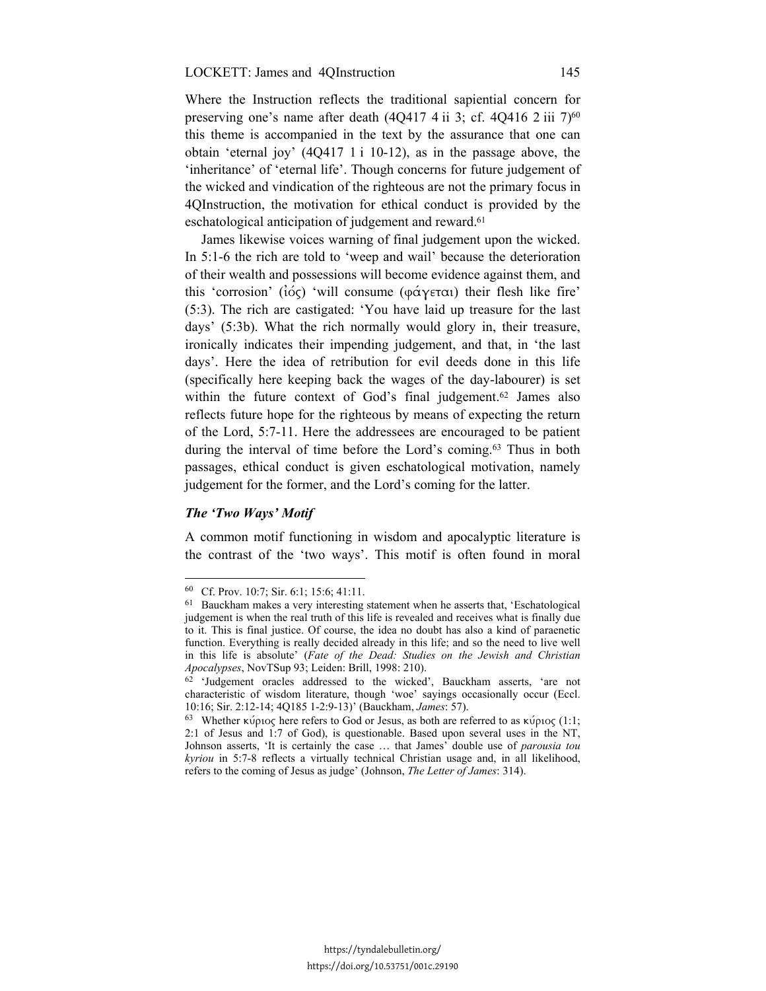Where the Instruction reflects the traditional sapiential concern for preserving one's name after death  $(4Q417 4 ii 3; cf. 4Q416 2 iii 7)<sup>60</sup>$ this theme is accompanied in the text by the assurance that one can obtain 'eternal joy' (4Q417 1 i 10-12), as in the passage above, the 'inheritance' of 'eternal life'. Though concerns for future judgement of the wicked and vindication of the righteous are not the primary focus in 4QInstruction, the motivation for ethical conduct is provided by the eschatological anticipation of judgement and reward.<sup>61</sup>

James likewise voices warning of final judgement upon the wicked. In 5:1-6 the rich are told to 'weep and wail' because the deterioration of their wealth and possessions will become evidence against them, and this 'corrosion' ( $i\acute{o}$ ς) 'will consume (φάγεται) their flesh like fire' (5:3). The rich are castigated: 'You have laid up treasure for the last days' (5:3b). What the rich normally would glory in, their treasure, ironically indicates their impending judgement, and that, in 'the last days'. Here the idea of retribution for evil deeds done in this life (specifically here keeping back the wages of the day-labourer) is set within the future context of God's final judgement.<sup>62</sup> James also reflects future hope for the righteous by means of expecting the return of the Lord, 5:7-11. Here the addressees are encouraged to be patient during the interval of time before the Lord's coming.63 Thus in both passages, ethical conduct is given eschatological motivation, namely judgement for the former, and the Lord's coming for the latter.

### *The 'Two Ways' Motif*

<u>.</u>

A common motif functioning in wisdom and apocalyptic literature is the contrast of the 'two ways'. This motif is often found in moral

<sup>60</sup> Cf. Prov. 10:7; Sir. 6:1; 15:6; 41:11.

<sup>61</sup> Bauckham makes a very interesting statement when he asserts that, 'Eschatological judgement is when the real truth of this life is revealed and receives what is finally due to it. This is final justice. Of course, the idea no doubt has also a kind of paraenetic function. Everything is really decided already in this life; and so the need to live well in this life is absolute' (*Fate of the Dead: Studies on the Jewish and Christian Apocalypses*, NovTSup 93; Leiden: Brill, 1998: 210). 62 'Judgement oracles addressed to the wicked', Bauckham asserts, 'are not

characteristic of wisdom literature, though 'woe' sayings occasionally occur (Eccl. 10:16; Sir. 2:12-14; 4Q185 1-2:9-13)' (Bauckham, *James*: 57). 63 Whether κύριος here refers to God or Jesus, as both are referred to as κύριος (1:1;

<sup>2:1</sup> of Jesus and 1:7 of God), is questionable. Based upon several uses in the NT, Johnson asserts, 'It is certainly the case … that James' double use of *parousia tou kyriou* in 5:7-8 reflects a virtually technical Christian usage and, in all likelihood, refers to the coming of Jesus as judge' (Johnson, *The Letter of James*: 314).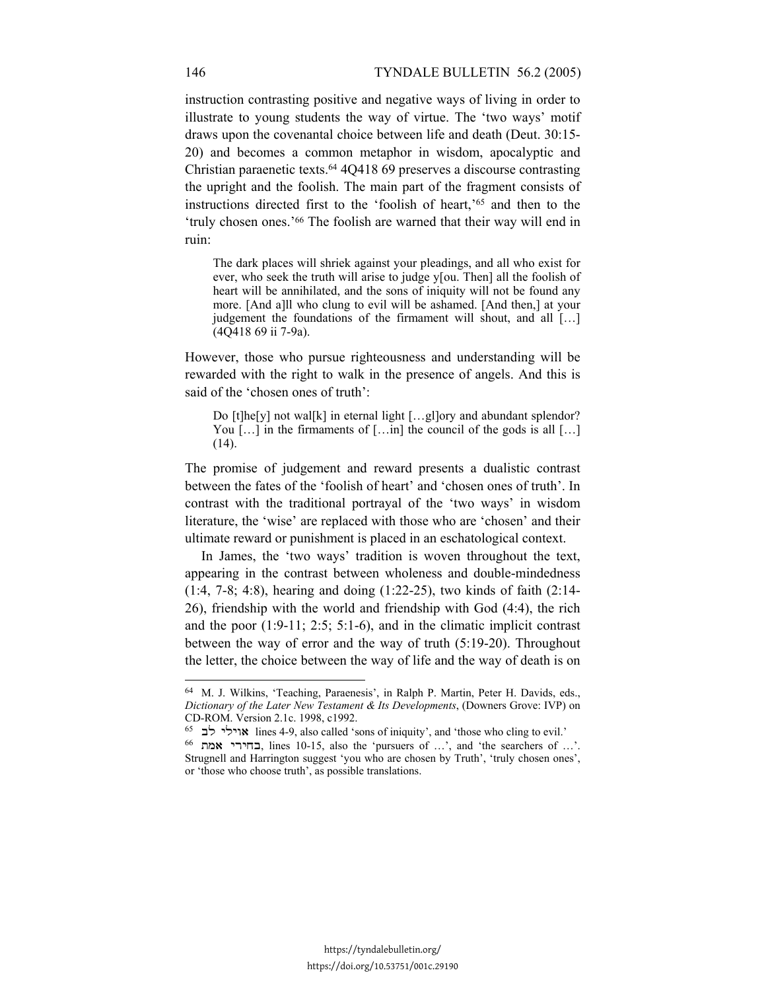instruction contrasting positive and negative ways of living in order to illustrate to young students the way of virtue. The 'two ways' motif draws upon the covenantal choice between life and death (Deut. 30:15- 20) and becomes a common metaphor in wisdom, apocalyptic and Christian paraenetic texts.64 4Q418 69 preserves a discourse contrasting the upright and the foolish. The main part of the fragment consists of instructions directed first to the 'foolish of heart,'65 and then to the 'truly chosen ones.'66 The foolish are warned that their way will end in ruin:

The dark places will shriek against your pleadings, and all who exist for ever, who seek the truth will arise to judge y[ou. Then] all the foolish of heart will be annihilated, and the sons of iniquity will not be found any more. [And a]ll who clung to evil will be ashamed. [And then,] at your judgement the foundations of the firmament will shout, and all […] (4Q418 69 ii 7-9a).

However, those who pursue righteousness and understanding will be rewarded with the right to walk in the presence of angels. And this is said of the 'chosen ones of truth':

Do [t]he[y] not wal[k] in eternal light [...g]]ory and abundant splendor? You  $[\dots]$  in the firmaments of  $[\dots]$  the council of the gods is all  $[\dots]$ (14).

The promise of judgement and reward presents a dualistic contrast between the fates of the 'foolish of heart' and 'chosen ones of truth'. In contrast with the traditional portrayal of the 'two ways' in wisdom literature, the 'wise' are replaced with those who are 'chosen' and their ultimate reward or punishment is placed in an eschatological context.

In James, the 'two ways' tradition is woven throughout the text, appearing in the contrast between wholeness and double-mindedness (1:4, 7-8; 4:8), hearing and doing (1:22-25), two kinds of faith (2:14- 26), friendship with the world and friendship with God (4:4), the rich and the poor (1:9-11; 2:5; 5:1-6), and in the climatic implicit contrast between the way of error and the way of truth (5:19-20). Throughout the letter, the choice between the way of life and the way of death is on

<sup>64</sup> M. J. Wilkins, 'Teaching, Paraenesis', in Ralph P. Martin, Peter H. Davids, eds., *Dictionary of the Later New Testament & Its Developments*, (Downers Grove: IVP) on CD-ROM. Version 2.1c. 1998, c1992.

<sup>65</sup> האוילי לב 165 (168-4-9, also called 'sons of iniquity', and 'those who cling to evil.' 66 אוילי לב 166 הבחירי Strugnell and Harrington suggest 'you who are chosen by Truth', 'truly chosen ones', or 'those who choose truth', as possible translations.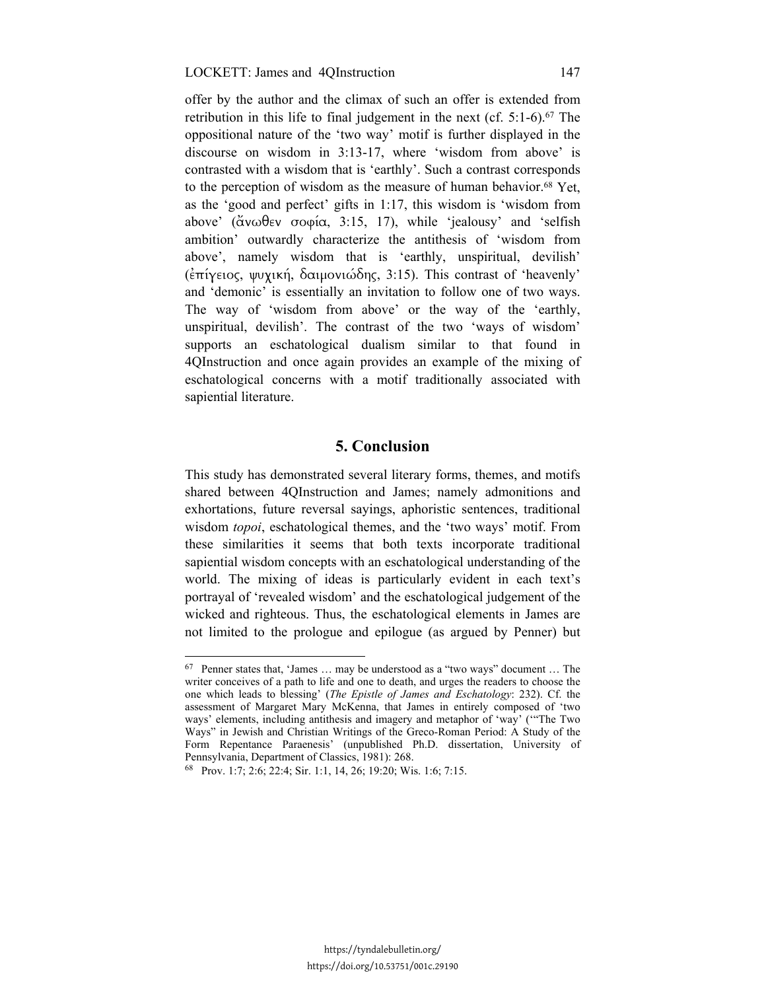#### LOCKETT: James and 4QInstruction 147

offer by the author and the climax of such an offer is extended from retribution in this life to final judgement in the next (cf.  $5:1-6$ ).<sup>67</sup> The oppositional nature of the 'two way' motif is further displayed in the discourse on wisdom in 3:13-17, where 'wisdom from above' is contrasted with a wisdom that is 'earthly'. Such a contrast corresponds to the perception of wisdom as the measure of human behavior.68 Yet, as the 'good and perfect' gifts in 1:17, this wisdom is 'wisdom from above' (ἄνωθεν σοφία, 3:15, 17), while 'jealousy' and 'selfish ambition' outwardly characterize the antithesis of 'wisdom from above', namely wisdom that is 'earthly, unspiritual, devilish' (ἐπίγειος, ψυχική, δαιµονιώδης, 3:15). This contrast of 'heavenly' and 'demonic' is essentially an invitation to follow one of two ways. The way of 'wisdom from above' or the way of the 'earthly, unspiritual, devilish'. The contrast of the two 'ways of wisdom' supports an eschatological dualism similar to that found in 4QInstruction and once again provides an example of the mixing of eschatological concerns with a motif traditionally associated with sapiential literature.

# **5. Conclusion**

This study has demonstrated several literary forms, themes, and motifs shared between 4QInstruction and James; namely admonitions and exhortations, future reversal sayings, aphoristic sentences, traditional wisdom *topoi*, eschatological themes, and the 'two ways' motif. From these similarities it seems that both texts incorporate traditional sapiential wisdom concepts with an eschatological understanding of the world. The mixing of ideas is particularly evident in each text's portrayal of 'revealed wisdom' and the eschatological judgement of the wicked and righteous. Thus, the eschatological elements in James are not limited to the prologue and epilogue (as argued by Penner) but

-

<sup>67</sup> Penner states that, 'James … may be understood as a "two ways" document … The writer conceives of a path to life and one to death, and urges the readers to choose the one which leads to blessing' (*The Epistle of James and Eschatology*: 232). Cf. the assessment of Margaret Mary McKenna, that James in entirely composed of 'two ways' elements, including antithesis and imagery and metaphor of 'way' ('"The Two Ways" in Jewish and Christian Writings of the Greco-Roman Period: A Study of the Form Repentance Paraenesis' (unpublished Ph.D. dissertation, University of Pennsylvania, Department of Classics, 1981): 268. 68 Prov. 1:7; 2:6; 22:4; Sir. 1:1, 14, 26; 19:20; Wis. 1:6; 7:15.